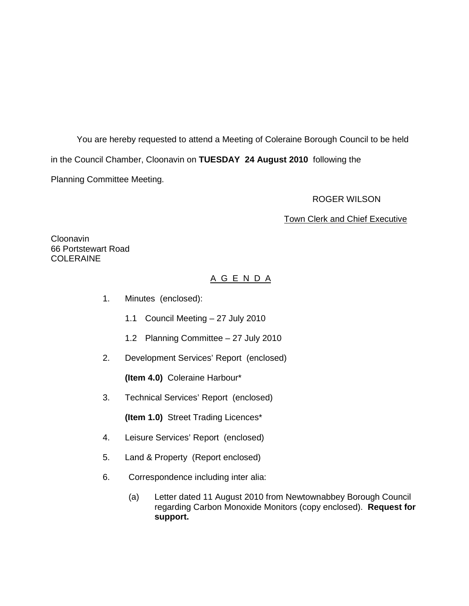You are hereby requested to attend a Meeting of Coleraine Borough Council to be held in the Council Chamber, Cloonavin on **TUESDAY 24 August 2010** following the Planning Committee Meeting.

## ROGER WILSON

## Town Clerk and Chief Executive

Cloonavin 66 Portstewart Road COLERAINE

# A G E N D A

- 1. Minutes (enclosed):
	- 1.1 Council Meeting 27 July 2010
	- 1.2 Planning Committee 27 July 2010
- 2. Development Services' Report (enclosed)

 **(Item 4.0)** Coleraine Harbour\*

3. Technical Services' Report (enclosed)

**(Item 1.0)** Street Trading Licences\*

- 4. Leisure Services' Report (enclosed)
- 5. Land & Property (Report enclosed)
- 6. Correspondence including inter alia:
	- (a) Letter dated 11 August 2010 from Newtownabbey Borough Council regarding Carbon Monoxide Monitors (copy enclosed). **Request for support.**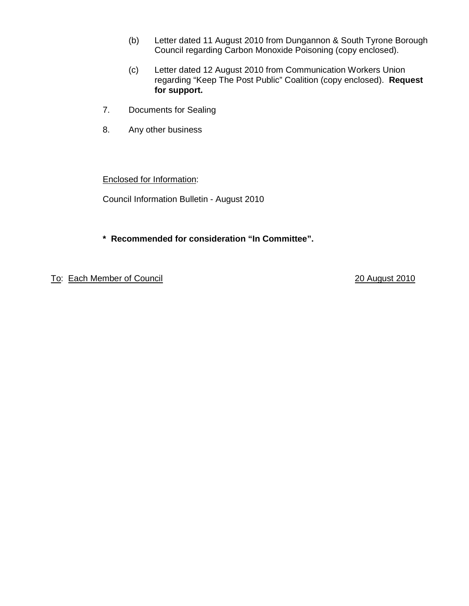- (b) Letter dated 11 August 2010 from Dungannon & South Tyrone Borough Council regarding Carbon Monoxide Poisoning (copy enclosed).
- (c) Letter dated 12 August 2010 from Communication Workers Union regarding "Keep The Post Public" Coalition (copy enclosed). **Request for support.**
- 7. Documents for Sealing
- 8. Any other business

Enclosed for Information:

Council Information Bulletin - August 2010

**\* Recommended for consideration "In Committee".**

To: Each Member of Council 20 August 2010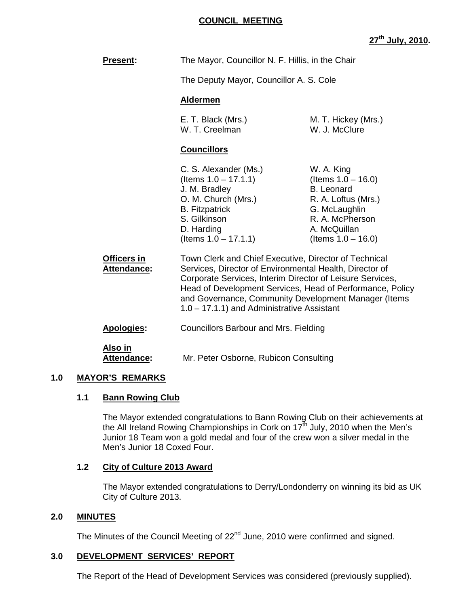## **COUNCIL MEETING**

# **27th July, 2010.**

| <b>Present:</b>                   | The Mayor, Councillor N. F. Hillis, in the Chair<br>The Deputy Mayor, Councillor A. S. Cole                                                                                                                                                                                                                                                         |                                                                                                                                                              |
|-----------------------------------|-----------------------------------------------------------------------------------------------------------------------------------------------------------------------------------------------------------------------------------------------------------------------------------------------------------------------------------------------------|--------------------------------------------------------------------------------------------------------------------------------------------------------------|
|                                   |                                                                                                                                                                                                                                                                                                                                                     |                                                                                                                                                              |
|                                   | <b>Aldermen</b>                                                                                                                                                                                                                                                                                                                                     |                                                                                                                                                              |
|                                   | E. T. Black (Mrs.)<br>W. T. Creelman                                                                                                                                                                                                                                                                                                                | M. T. Hickey (Mrs.)<br>W. J. McClure                                                                                                                         |
|                                   | <b>Councillors</b>                                                                                                                                                                                                                                                                                                                                  |                                                                                                                                                              |
|                                   | C. S. Alexander (Ms.)<br>(Items $1.0 - 17.1.1$ )<br>J. M. Bradley<br>O. M. Church (Mrs.)<br><b>B.</b> Fitzpatrick<br>S. Gilkinson<br>D. Harding<br>(Items $1.0 - 17.1.1$ )                                                                                                                                                                          | W. A. King<br>(Items $1.0 - 16.0$ )<br><b>B.</b> Leonard<br>R. A. Loftus (Mrs.)<br>G. McLaughlin<br>R. A. McPherson<br>A. McQuillan<br>(Items $1.0 - 16.0$ ) |
| Officers in<br><b>Attendance:</b> | Town Clerk and Chief Executive, Director of Technical<br>Services, Director of Environmental Health, Director of<br>Corporate Services, Interim Director of Leisure Services,<br>Head of Development Services, Head of Performance, Policy<br>and Governance, Community Development Manager (Items<br>$1.0 - 17.1.1$ ) and Administrative Assistant |                                                                                                                                                              |
| Apologies:                        | <b>Councillors Barbour and Mrs. Fielding</b>                                                                                                                                                                                                                                                                                                        |                                                                                                                                                              |
| Also in<br>Attendance:            | Mr. Peter Osborne, Rubicon Consulting                                                                                                                                                                                                                                                                                                               |                                                                                                                                                              |

## **1.0 MAYOR'S REMARKS**

#### **1.1 Bann Rowing Club**

The Mayor extended congratulations to Bann Rowing Club on their achievements at the All Ireland Rowing Championships in Cork on 17 $^{\text{th}}$  July, 2010 when the Men's Junior 18 Team won a gold medal and four of the crew won a silver medal in the Men's Junior 18 Coxed Four.

## **1.2 City of Culture 2013 Award**

The Mayor extended congratulations to Derry/Londonderry on winning its bid as UK City of Culture 2013.

## **2.0 MINUTES**

The Minutes of the Council Meeting of 22<sup>nd</sup> June, 2010 were confirmed and signed.

## **3.0 DEVELOPMENT SERVICES' REPORT**

The Report of the Head of Development Services was considered (previously supplied).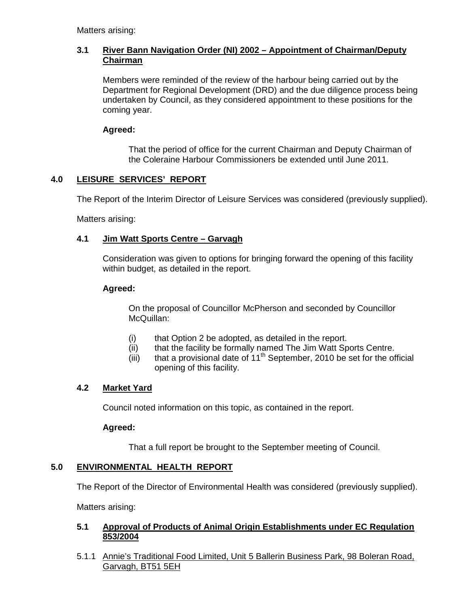Matters arising:

## **3.1 River Bann Navigation Order (NI) 2002 – Appointment of Chairman/Deputy Chairman**

Members were reminded of the review of the harbour being carried out by the Department for Regional Development (DRD) and the due diligence process being undertaken by Council, as they considered appointment to these positions for the coming year.

## **Agreed:**

That the period of office for the current Chairman and Deputy Chairman of the Coleraine Harbour Commissioners be extended until June 2011.

## **4.0 LEISURE SERVICES' REPORT**

The Report of the Interim Director of Leisure Services was considered (previously supplied).

Matters arising:

## **4.1 Jim Watt Sports Centre – Garvagh**

Consideration was given to options for bringing forward the opening of this facility within budget, as detailed in the report.

## **Agreed:**

 On the proposal of Councillor McPherson and seconded by Councillor McQuillan:

- (i) that Option 2 be adopted, as detailed in the report.
- (ii) that the facility be formally named The Jim Watt Sports Centre.
- (iii) that a provisional date of  $11<sup>th</sup>$  September, 2010 be set for the official opening of this facility.

## **4.2 Market Yard**

Council noted information on this topic, as contained in the report.

## **Agreed:**

That a full report be brought to the September meeting of Council.

## **5.0 ENVIRONMENTAL HEALTH REPORT**

The Report of the Director of Environmental Health was considered (previously supplied).

Matters arising:

## **5.1 Approval of Products of Animal Origin Establishments under EC Regulation 853/2004**

5.1.1 Annie's Traditional Food Limited, Unit 5 Ballerin Business Park, 98 Boleran Road, Garvagh, BT51 5EH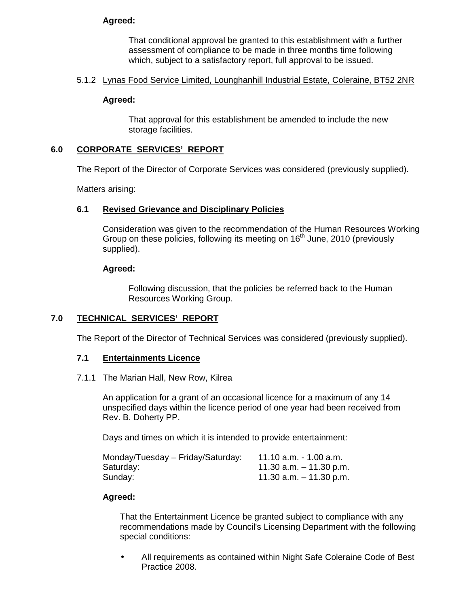## **Agreed:**

That conditional approval be granted to this establishment with a further assessment of compliance to be made in three months time following which, subject to a satisfactory report, full approval to be issued.

### 5.1.2 Lynas Food Service Limited, Lounghanhill Industrial Estate, Coleraine, BT52 2NR

#### **Agreed:**

That approval for this establishment be amended to include the new storage facilities.

#### **6.0 CORPORATE SERVICES' REPORT**

The Report of the Director of Corporate Services was considered (previously supplied).

Matters arising:

#### **6.1 Revised Grievance and Disciplinary Policies**

Consideration was given to the recommendation of the Human Resources Working Group on these policies, following its meeting on 16<sup>th</sup> June, 2010 (previously supplied).

#### **Agreed:**

Following discussion, that the policies be referred back to the Human Resources Working Group.

## **7.0 TECHNICAL SERVICES' REPORT**

The Report of the Director of Technical Services was considered (previously supplied).

## **7.1 Entertainments Licence**

#### 7.1.1 The Marian Hall, New Row, Kilrea

 An application for a grant of an occasional licence for a maximum of any 14 unspecified days within the licence period of one year had been received from Rev. B. Doherty PP.

Days and times on which it is intended to provide entertainment:

| Monday/Tuesday - Friday/Saturday: | 11.10 a.m. - 1.00 a.m.    |
|-----------------------------------|---------------------------|
| Saturday:                         | 11.30 a.m. $-$ 11.30 p.m. |
| Sunday:                           | 11.30 a.m. $-$ 11.30 p.m. |

## **Agreed:**

 That the Entertainment Licence be granted subject to compliance with any recommendations made by Council's Licensing Department with the following special conditions:

• All requirements as contained within Night Safe Coleraine Code of Best Practice 2008.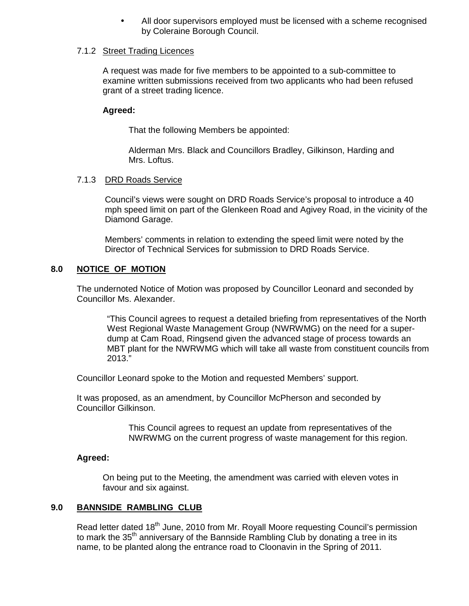All door supervisors employed must be licensed with a scheme recognised by Coleraine Borough Council.

#### 7.1.2 Street Trading Licences

A request was made for five members to be appointed to a sub-committee to examine written submissions received from two applicants who had been refused grant of a street trading licence.

## **Agreed:**

That the following Members be appointed:

 Alderman Mrs. Black and Councillors Bradley, Gilkinson, Harding and Mrs. Loftus.

## 7.1.3 DRD Roads Service

Council's views were sought on DRD Roads Service's proposal to introduce a 40 mph speed limit on part of the Glenkeen Road and Agivey Road, in the vicinity of the Diamond Garage.

Members' comments in relation to extending the speed limit were noted by the Director of Technical Services for submission to DRD Roads Service.

## **8.0 NOTICE OF MOTION**

The undernoted Notice of Motion was proposed by Councillor Leonard and seconded by Councillor Ms. Alexander.

"This Council agrees to request a detailed briefing from representatives of the North West Regional Waste Management Group (NWRWMG) on the need for a superdump at Cam Road, Ringsend given the advanced stage of process towards an MBT plant for the NWRWMG which will take all waste from constituent councils from 2013."

Councillor Leonard spoke to the Motion and requested Members' support.

 It was proposed, as an amendment, by Councillor McPherson and seconded by Councillor Gilkinson.

> This Council agrees to request an update from representatives of the NWRWMG on the current progress of waste management for this region.

## **Agreed:**

On being put to the Meeting, the amendment was carried with eleven votes in favour and six against.

## **9.0 BANNSIDE RAMBLING CLUB**

Read letter dated 18<sup>th</sup> June, 2010 from Mr. Rovall Moore requesting Council's permission to mark the 35<sup>th</sup> anniversary of the Bannside Rambling Club by donating a tree in its name, to be planted along the entrance road to Cloonavin in the Spring of 2011.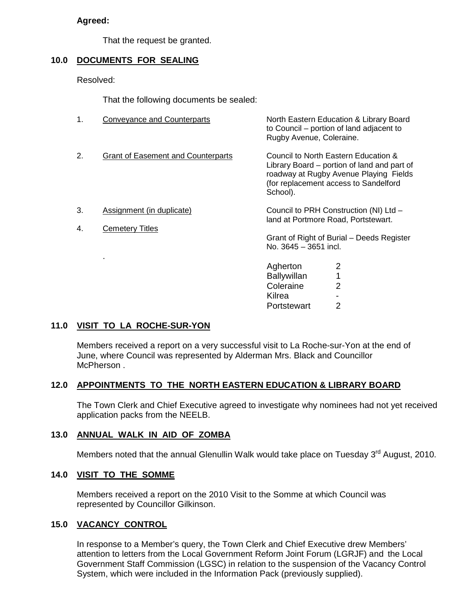### **Agreed:**

That the request be granted.

## **10.0 DOCUMENTS FOR SEALING**

Resolved:

That the following documents be sealed:

| 1. | <b>Conveyance and Counterparts</b>        | North Eastern Education & Library Board<br>to Council – portion of land adjacent to<br>Rugby Avenue, Coleraine.                                                                    |
|----|-------------------------------------------|------------------------------------------------------------------------------------------------------------------------------------------------------------------------------------|
| 2. | <b>Grant of Easement and Counterparts</b> | Council to North Eastern Education &<br>Library Board – portion of land and part of<br>roadway at Rugby Avenue Playing Fields<br>(for replacement access to Sandelford<br>School). |
| 3. | Assignment (in duplicate)                 | Council to PRH Construction (NI) Ltd -<br>land at Portmore Road, Portstewart.                                                                                                      |
| 4. | <b>Cemetery Titles</b>                    | Grant of Right of Burial - Deeds Register<br>No. 3645 - 3651 incl.                                                                                                                 |

Agherton 2 Ballywillan 1 Coleraine 2 Kilrea - Portstewart 2

#### **11.0 VISIT TO LA ROCHE-SUR-YON**

.

 Members received a report on a very successful visit to La Roche-sur-Yon at the end of June, where Council was represented by Alderman Mrs. Black and Councillor McPherson .

## **12.0 APPOINTMENTS TO THE NORTH EASTERN EDUCATION & LIBRARY BOARD**

The Town Clerk and Chief Executive agreed to investigate why nominees had not yet received application packs from the NEELB.

#### **13.0 ANNUAL WALK IN AID OF ZOMBA**

Members noted that the annual Glenullin Walk would take place on Tuesday 3<sup>rd</sup> August, 2010.

#### **14.0 VISIT TO THE SOMME**

 Members received a report on the 2010 Visit to the Somme at which Council was represented by Councillor Gilkinson.

#### **15.0 VACANCY CONTROL**

 In response to a Member's query, the Town Clerk and Chief Executive drew Members' attention to letters from the Local Government Reform Joint Forum (LGRJF) and the Local Government Staff Commission (LGSC) in relation to the suspension of the Vacancy Control System, which were included in the Information Pack (previously supplied).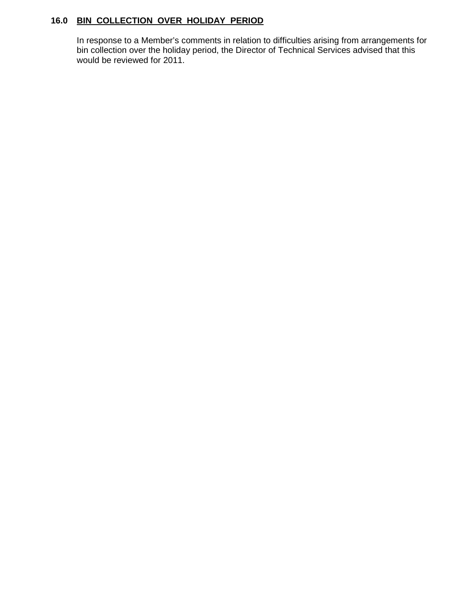# **16.0 BIN COLLECTION OVER HOLIDAY PERIOD**

 In response to a Member's comments in relation to difficulties arising from arrangements for bin collection over the holiday period, the Director of Technical Services advised that this would be reviewed for 2011.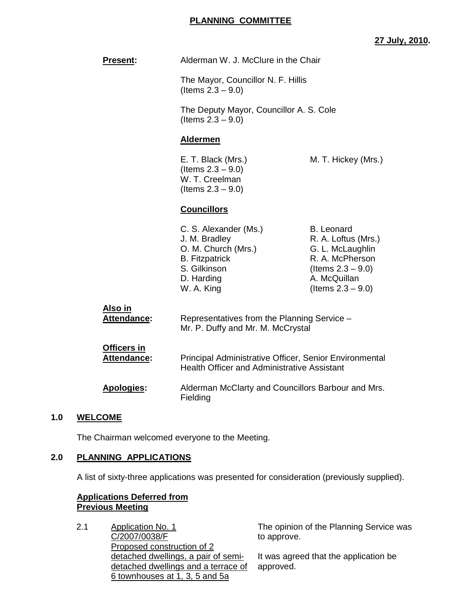## **PLANNING COMMITTEE**

## **27 July, 2010.**

|     | <b>Present:</b>                   | Alderman W. J. McClure in the Chair                                                                                                                                                                                                                                |                                                                                                                                                 |
|-----|-----------------------------------|--------------------------------------------------------------------------------------------------------------------------------------------------------------------------------------------------------------------------------------------------------------------|-------------------------------------------------------------------------------------------------------------------------------------------------|
|     |                                   | The Mayor, Councillor N. F. Hillis<br>(Items $2.3 - 9.0$ )                                                                                                                                                                                                         |                                                                                                                                                 |
|     |                                   | The Deputy Mayor, Councillor A. S. Cole<br>(Items $2.3 - 9.0$ )                                                                                                                                                                                                    |                                                                                                                                                 |
|     |                                   | <b>Aldermen</b>                                                                                                                                                                                                                                                    |                                                                                                                                                 |
|     |                                   | E. T. Black (Mrs.)<br>(Items $2.3 - 9.0$ )<br>W. T. Creelman<br>(Items $2.3 - 9.0$ )                                                                                                                                                                               | M. T. Hickey (Mrs.)                                                                                                                             |
|     |                                   | <b>Councillors</b>                                                                                                                                                                                                                                                 |                                                                                                                                                 |
|     |                                   | C. S. Alexander (Ms.)<br>J. M. Bradley<br>O. M. Church (Mrs.)<br><b>B.</b> Fitzpatrick<br>S. Gilkinson<br>D. Harding<br>W. A. King                                                                                                                                 | <b>B.</b> Leonard<br>R. A. Loftus (Mrs.)<br>G. L. McLaughlin<br>R. A. McPherson<br>(Items $2.3 - 9.0$ )<br>A. McQuillan<br>(Items $2.3 - 9.0$ ) |
|     | <u>Also in</u><br>Attendance:     | Representatives from the Planning Service -<br>Mr. P. Duffy and Mr. M. McCrystal<br>Principal Administrative Officer, Senior Environmental<br><b>Health Officer and Administrative Assistant</b><br>Alderman McClarty and Councillors Barbour and Mrs.<br>Fielding |                                                                                                                                                 |
|     | <b>Officers in</b><br>Attendance: |                                                                                                                                                                                                                                                                    |                                                                                                                                                 |
|     | <b>Apologies:</b>                 |                                                                                                                                                                                                                                                                    |                                                                                                                                                 |
| 1.0 | <b>WELCOME</b>                    |                                                                                                                                                                                                                                                                    |                                                                                                                                                 |
|     |                                   |                                                                                                                                                                                                                                                                    |                                                                                                                                                 |

The Chairman welcomed everyone to the Meeting.

## **2.0 PLANNING APPLICATIONS**

**1.0 WELCOME**

A list of sixty-three applications was presented for consideration (previously supplied).

## **Applications Deferred from Previous Meeting**

2.1 Application No. 1 C/2007/0038/F Proposed construction of 2 detached dwellings, a pair of semidetached dwellings and a terrace of 6 townhouses at 1, 3, 5 and 5a

The opinion of the Planning Service was to approve.

It was agreed that the application be approved.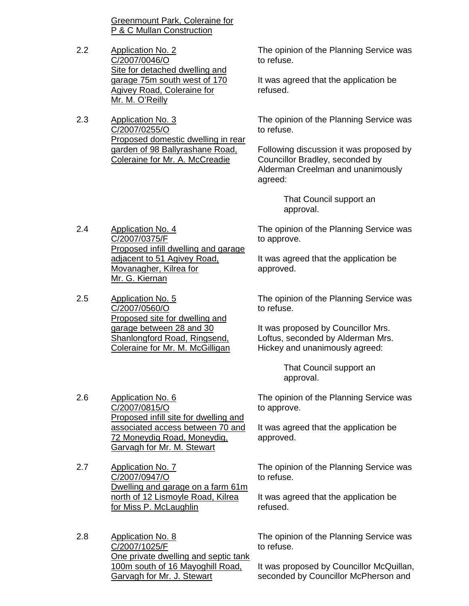Greenmount Park, Coleraine for P & C Mullan Construction

- 2.2 Application No. 2 C/2007/0046/O Site for detached dwelling and garage 75m south west of 170 Agivey Road, Coleraine for Mr. M. O'Reilly
- 2.3 Application No. 3 C/2007/0255/O Proposed domestic dwelling in rear garden of 98 Ballyrashane Road, Coleraine for Mr. A. McCreadie

2.4 Application No. 4

C/2007/0375/F

Mr. G. Kiernan

The opinion of the Planning Service was to refuse.

It was agreed that the application be refused.

The opinion of the Planning Service was to refuse.

Following discussion it was proposed by Councillor Bradley, seconded by Alderman Creelman and unanimously agreed:

> That Council support an approval.

The opinion of the Planning Service was to approve.

It was agreed that the application be approved.

2.5 Application No. 5 C/2007/0560/O Proposed site for dwelling and garage between 28 and 30 Shanlongford Road, Ringsend,

Proposed infill dwelling and garage

adjacent to 51 Agivey Road, Movanagher, Kilrea for

> The opinion of the Planning Service was to refuse.

It was proposed by Councillor Mrs. Loftus, seconded by Alderman Mrs. Hickey and unanimously agreed:

> That Council support an approval.

The opinion of the Planning Service was to approve.

It was agreed that the application be approved.

The opinion of the Planning Service was to refuse.

It was agreed that the application be refused.

The opinion of the Planning Service was to refuse.

It was proposed by Councillor McQuillan, seconded by Councillor McPherson and

2.6 Application No. 6 C/2007/0815/O Proposed infill site for dwelling and associated access between 70 and 72 Moneydig Road, Moneydig, Garvagh for Mr. M. Stewart

Coleraine for Mr. M. McGilligan

2.7 Application No. 7 C/2007/0947/O Dwelling and garage on a farm 61m north of 12 Lismoyle Road, Kilrea for Miss P. McLaughlin

2.8 Application No. 8 C/2007/1025/F One private dwelling and septic tank 100m south of 16 Mayoghill Road, Garvagh for Mr. J. Stewart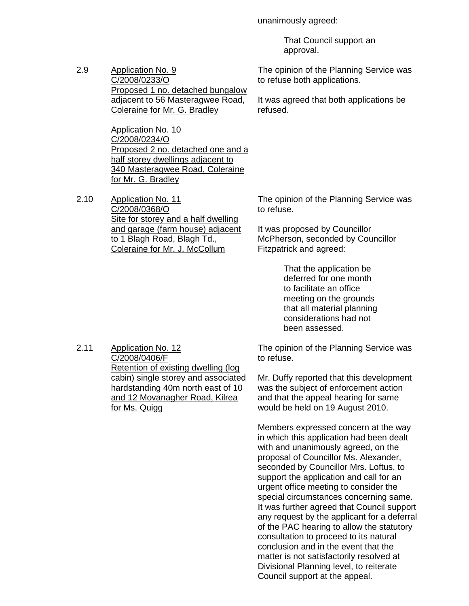unanimously agreed:

to refuse both applications.

refused.

 That Council support an approval.

The opinion of the Planning Service was

It was agreed that both applications be

2.9 Application No. 9 C/2008/0233/O Proposed 1 no. detached bungalow adjacent to 56 Masteragwee Road, Coleraine for Mr. G. Bradley

> Application No. 10 C/2008/0234/O Proposed 2 no. detached one and a half storey dwellings adjacent to 340 Masteragwee Road, Coleraine for Mr. G. Bradley

2.10 Application No. 11 C/2008/0368/O Site for storey and a half dwelling and garage (farm house) adjacent to 1 Blagh Road, Blagh Td., Coleraine for Mr. J. McCollum

The opinion of the Planning Service was to refuse.

It was proposed by Councillor McPherson, seconded by Councillor Fitzpatrick and agreed:

> That the application be deferred for one month to facilitate an office meeting on the grounds that all material planning considerations had not been assessed.

2.11 Application No. 12 C/2008/0406/F Retention of existing dwelling (log cabin) single storey and associated hardstanding 40m north east of 10 and 12 Movanagher Road, Kilrea for Ms. Quigg

The opinion of the Planning Service was to refuse.

Mr. Duffy reported that this development was the subject of enforcement action and that the appeal hearing for same would be held on 19 August 2010.

Members expressed concern at the way in which this application had been dealt with and unanimously agreed, on the proposal of Councillor Ms. Alexander, seconded by Councillor Mrs. Loftus, to support the application and call for an urgent office meeting to consider the special circumstances concerning same. It was further agreed that Council support any request by the applicant for a deferral of the PAC hearing to allow the statutory consultation to proceed to its natural conclusion and in the event that the matter is not satisfactorily resolved at Divisional Planning level, to reiterate Council support at the appeal.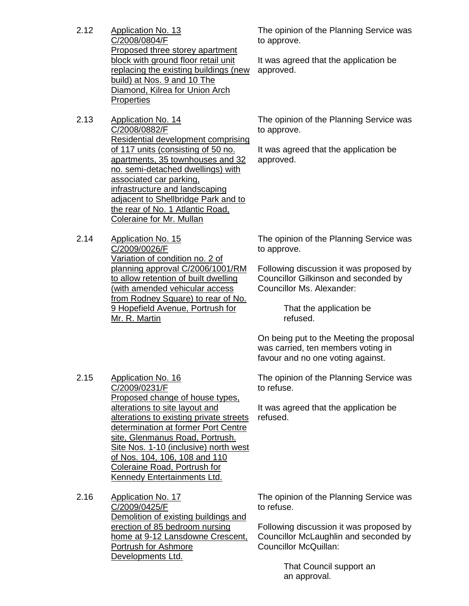- 2.12 Application No. 13 C/2008/0804/F Proposed three storey apartment block with ground floor retail unit replacing the existing buildings (new build) at Nos. 9 and 10 The Diamond, Kilrea for Union Arch **Properties**
- 2.13 Application No. 14 C/2008/0882/F Residential development comprising of 117 units (consisting of 50 no. apartments, 35 townhouses and 32 no. semi-detached dwellings) with associated car parking, infrastructure and landscaping adjacent to Shellbridge Park and to the rear of No. 1 Atlantic Road, Coleraine for Mr. Mullan
- 2.14 Application No. 15 C/2009/0026/F Variation of condition no. 2 of planning approval C/2006/1001/RM to allow retention of built dwelling (with amended vehicular access from Rodney Square) to rear of No. 9 Hopefield Avenue, Portrush for Mr. R. Martin

The opinion of the Planning Service was to approve.

It was agreed that the application be approved.

The opinion of the Planning Service was to approve.

It was agreed that the application be approved.

The opinion of the Planning Service was to approve.

Following discussion it was proposed by Councillor Gilkinson and seconded by Councillor Ms. Alexander:

> That the application be refused.

On being put to the Meeting the proposal was carried, ten members voting in favour and no one voting against.

The opinion of the Planning Service was to refuse.

It was agreed that the application be refused.

2.15 Application No. 16 C/2009/0231/F Proposed change of house types, alterations to site layout and alterations to existing private streets determination at former Port Centre site, Glenmanus Road, Portrush. Site Nos. 1-10 (inclusive) north west of Nos. 104, 106, 108 and 110 Coleraine Road, Portrush for Kennedy Entertainments Ltd.

2.16 Application No. 17 C/2009/0425/F Demolition of existing buildings and erection of 85 bedroom nursing home at 9-12 Lansdowne Crescent, Portrush for Ashmore Developments Ltd.

The opinion of the Planning Service was to refuse.

Following discussion it was proposed by Councillor McLaughlin and seconded by Councillor McQuillan:

> That Council support an an approval.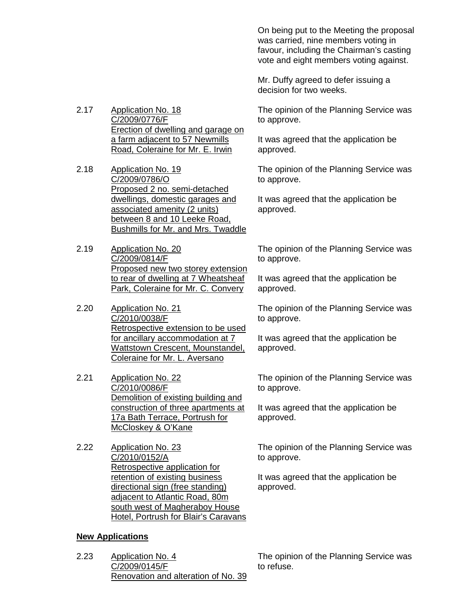On being put to the Meeting the proposal was carried, nine members voting in favour, including the Chairman's casting vote and eight members voting against.

Mr. Duffy agreed to defer issuing a decision for two weeks.

The opinion of the Planning Service was to approve.

It was agreed that the application be approved.

The opinion of the Planning Service was to approve.

It was agreed that the application be approved.

The opinion of the Planning Service was to approve.

It was agreed that the application be approved.

The opinion of the Planning Service was to approve.

It was agreed that the application be approved.

The opinion of the Planning Service was to approve.

It was agreed that the application be approved.

The opinion of the Planning Service was to approve.

It was agreed that the application be approved.

2.17 Application No. 18 C/2009/0776/F Erection of dwelling and garage on a farm adjacent to 57 Newmills Road, Coleraine for Mr. E. Irwin

2.18 Application No. 19 C/2009/0786/O Proposed 2 no. semi-detached dwellings, domestic garages and associated amenity (2 units) between 8 and 10 Leeke Road, Bushmills for Mr. and Mrs. Twaddle

2.19 Application No. 20 C/2009/0814/F Proposed new two storey extension to rear of dwelling at 7 Wheatsheaf Park, Coleraine for Mr. C. Convery

2.20 Application No. 21 C/2010/0038/F Retrospective extension to be used for ancillary accommodation at 7 Wattstown Crescent, Mounstandel, Coleraine for Mr. L. Aversano

2.21 Application No. 22 C/2010/0086/F Demolition of existing building and construction of three apartments at 17a Bath Terrace, Portrush for McCloskey & O'Kane

2.22 Application No. 23 C/2010/0152/A Retrospective application for retention of existing business directional sign (free standing) adjacent to Atlantic Road, 80m south west of Magheraboy House Hotel, Portrush for Blair's Caravans

## **New Applications**

2.23 Application No. 4 C/2009/0145/F Renovation and alteration of No. 39

The opinion of the Planning Service was to refuse.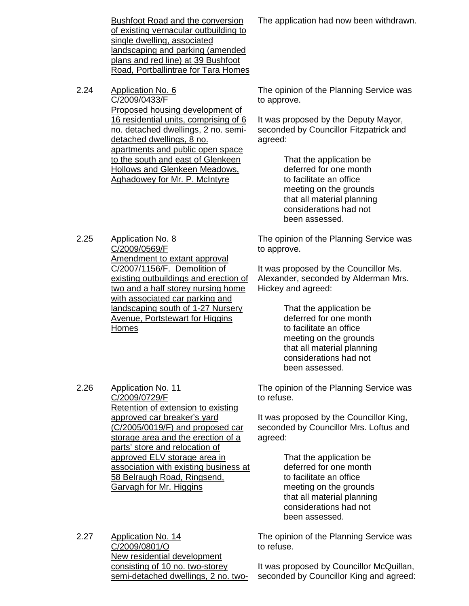Bushfoot Road and the conversion of existing vernacular outbuilding to single dwelling, associated landscaping and parking (amended plans and red line) at 39 Bushfoot Road, Portballintrae for Tara Homes

2.24 Application No. 6 C/2009/0433/F Proposed housing development of 16 residential units, comprising of 6 no. detached dwellings, 2 no. semidetached dwellings, 8 no. apartments and public open space to the south and east of Glenkeen Hollows and Glenkeen Meadows, Aghadowey for Mr. P. McIntyre

2.25 Application No. 8 C/2009/0569/F Amendment to extant approval C/2007/1156/F. Demolition of existing outbuildings and erection of two and a half storey nursing home with associated car parking and landscaping south of 1-27 Nursery Avenue, Portstewart for Higgins Homes

> Retention of extension to existing approved car breaker's yard

(C/2005/0019/F) and proposed car storage area and the erection of a parts' store and relocation of approved ELV storage area in

association with existing business at

58 Belraugh Road, Ringsend,

Garvagh for Mr. Higgins

The application had now been withdrawn.

The opinion of the Planning Service was to approve.

It was proposed by the Deputy Mayor, seconded by Councillor Fitzpatrick and agreed:

> That the application be deferred for one month to facilitate an office meeting on the grounds that all material planning considerations had not been assessed.

The opinion of the Planning Service was to approve.

It was proposed by the Councillor Ms. Alexander, seconded by Alderman Mrs. Hickey and agreed:

> That the application be deferred for one month to facilitate an office meeting on the grounds that all material planning considerations had not been assessed.

The opinion of the Planning Service was to refuse.

It was proposed by the Councillor King, seconded by Councillor Mrs. Loftus and agreed:

> That the application be deferred for one month to facilitate an office meeting on the grounds that all material planning considerations had not been assessed.

The opinion of the Planning Service was to refuse.

2.27 Application No. 14 C/2009/0801/O New residential development consisting of 10 no. two-storey semi-detached dwellings, 2 no. two-

It was proposed by Councillor McQuillan, seconded by Councillor King and agreed:

2.26 Application No. 11 C/2009/0729/F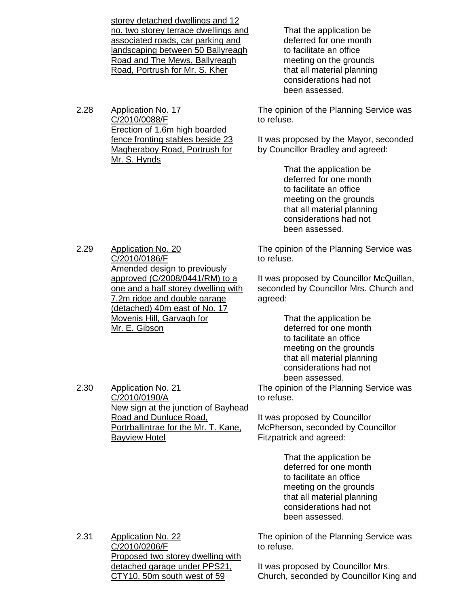storey detached dwellings and 12 no. two storey terrace dwellings and associated roads, car parking and landscaping between 50 Ballyreagh Road and The Mews, Ballyreagh Road, Portrush for Mr. S. Kher

2.28 Application No. 17 C/2010/0088/F Erection of 1.6m high boarded fence fronting stables beside 23 Magheraboy Road, Portrush for Mr. S. Hynds

 That the application be deferred for one month to facilitate an office meeting on the grounds that all material planning considerations had not been assessed.

The opinion of the Planning Service was to refuse.

It was proposed by the Mayor, seconded by Councillor Bradley and agreed:

> That the application be deferred for one month to facilitate an office meeting on the grounds that all material planning considerations had not been assessed.

The opinion of the Planning Service was to refuse.

It was proposed by Councillor McQuillan, seconded by Councillor Mrs. Church and agreed:

> That the application be deferred for one month to facilitate an office meeting on the grounds that all material planning considerations had not been assessed.

The opinion of the Planning Service was to refuse.

It was proposed by Councillor McPherson, seconded by Councillor Fitzpatrick and agreed:

> That the application be deferred for one month to facilitate an office meeting on the grounds that all material planning considerations had not been assessed.

2.31 Application No. 22 C/2010/0206/F Proposed two storey dwelling with detached garage under PPS21, CTY10, 50m south west of 59

The opinion of the Planning Service was to refuse.

It was proposed by Councillor Mrs. Church, seconded by Councillor King and

2.29 Application No. 20 C/2010/0186/F Amended design to previously approved (C/2008/0441/RM) to a one and a half storey dwelling with 7.2m ridge and double garage (detached) 40m east of No. 17 Movenis Hill, Garvagh for Mr. E. Gibson

New sign at the junction of Bayhead

Portrballintrae for the Mr. T. Kane,

Road and Dunluce Road,

2.30 Application No. 21 C/2010/0190/A

Bayview Hotel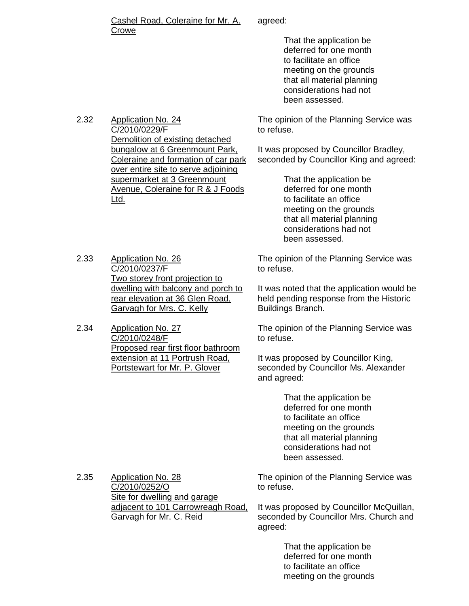#### Cashel Road, Coleraine for Mr. A. Crowe

agreed:

 That the application be deferred for one month to facilitate an office meeting on the grounds that all material planning considerations had not been assessed.

The opinion of the Planning Service was to refuse.

It was proposed by Councillor Bradley, seconded by Councillor King and agreed:

> That the application be deferred for one month to facilitate an office meeting on the grounds that all material planning considerations had not been assessed.

The opinion of the Planning Service was to refuse.

It was noted that the application would be held pending response from the Historic Buildings Branch.

The opinion of the Planning Service was to refuse.

It was proposed by Councillor King, seconded by Councillor Ms. Alexander and agreed:

> That the application be deferred for one month to facilitate an office meeting on the grounds that all material planning considerations had not been assessed.

2.35 Application No. 28 C/2010/0252/O Site for dwelling and garage adjacent to 101 Carrowreagh Road, Garvagh for Mr. C. Reid

The opinion of the Planning Service was to refuse.

It was proposed by Councillor McQuillan, seconded by Councillor Mrs. Church and agreed:

> That the application be deferred for one month to facilitate an office meeting on the grounds

2.32 Application No. 24 C/2010/0229/F Demolition of existing detached bungalow at 6 Greenmount Park, Coleraine and formation of car park over entire site to serve adjoining supermarket at 3 Greenmount Avenue, Coleraine for R & J Foods Ltd.

- 2.33 Application No. 26 C/2010/0237/F Two storey front projection to dwelling with balcony and porch to rear elevation at 36 Glen Road, Garvagh for Mrs. C. Kelly
- 2.34 Application No. 27 C/2010/0248/F Proposed rear first floor bathroom extension at 11 Portrush Road, Portstewart for Mr. P. Glover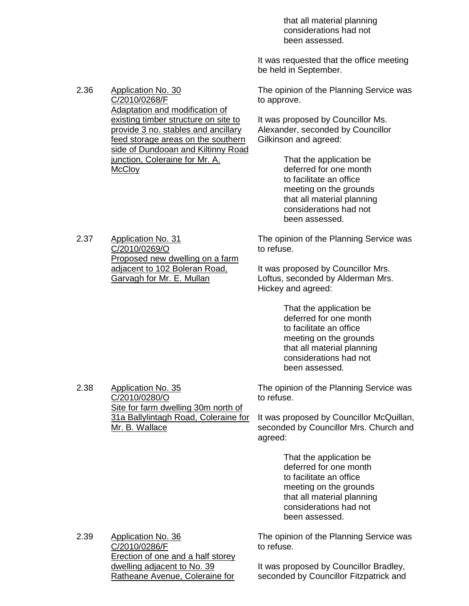that all material planning considerations had not been assessed.

It was requested that the office meeting be held in September.

The opinion of the Planning Service was to approve.

It was proposed by Councillor Ms. Alexander, seconded by Councillor Gilkinson and agreed:

> That the application be deferred for one month to facilitate an office meeting on the grounds that all material planning considerations had not been assessed.

The opinion of the Planning Service was to refuse.

It was proposed by Councillor Mrs. Loftus, seconded by Alderman Mrs. Hickey and agreed:

> That the application be deferred for one month to facilitate an office meeting on the grounds that all material planning considerations had not been assessed.

The opinion of the Planning Service was to refuse.

It was proposed by Councillor McQuillan, seconded by Councillor Mrs. Church and agreed:

> That the application be deferred for one month to facilitate an office meeting on the grounds that all material planning considerations had not been assessed.

The opinion of the Planning Service was to refuse.

2.39 Application No. 36 C/2010/0286/F Erection of one and a half storey dwelling adjacent to No. 39 Ratheane Avenue, Coleraine for

Site for farm dwelling 30m north of 31a Ballylintagh Road, Coleraine for

> It was proposed by Councillor Bradley, seconded by Councillor Fitzpatrick and

2.37 Application No. 31 C/2010/0269/O Proposed new dwelling on a farm adjacent to 102 Boleran Road, Garvagh for Mr. E. Mullan

2.38 Application No. 35 C/2010/0280/O

Mr. B. Wallace

2.36 Application No. 30

C/2010/0268/F Adaptation and modification of existing timber structure on site to provide 3 no. stables and ancillary feed storage areas on the southern side of Dundooan and Kiltinny Road junction, Coleraine for Mr. A. **McCloy**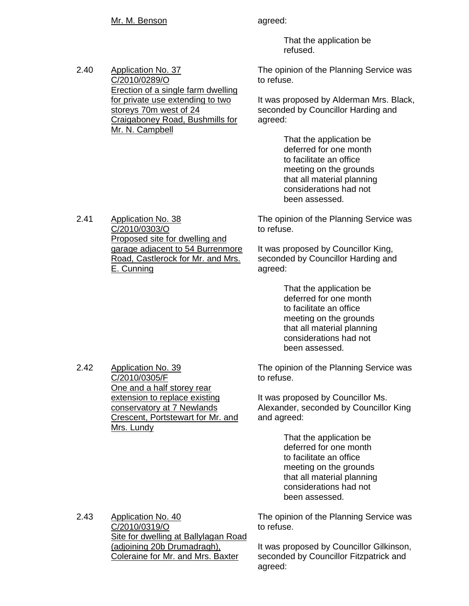### Mr. M. Benson agreed:

C/2010/0289/O

Mr. N. Campbell

storeys 70m west of 24

Erection of a single farm dwelling for private use extending to two

Craigaboney Road, Bushmills for

2.40 Application No. 37

 That the application be refused.

The opinion of the Planning Service was to refuse.

It was proposed by Alderman Mrs. Black, seconded by Councillor Harding and agreed:

> That the application be deferred for one month to facilitate an office meeting on the grounds that all material planning considerations had not been assessed.

The opinion of the Planning Service was to refuse.

It was proposed by Councillor King, seconded by Councillor Harding and agreed:

> That the application be deferred for one month to facilitate an office meeting on the grounds that all material planning considerations had not been assessed.

The opinion of the Planning Service was to refuse.

It was proposed by Councillor Ms. Alexander, seconded by Councillor King and agreed:

> That the application be deferred for one month to facilitate an office meeting on the grounds that all material planning considerations had not been assessed.

The opinion of the Planning Service was to refuse.

It was proposed by Councillor Gilkinson, seconded by Councillor Fitzpatrick and agreed:

2.41 Application No. 38 C/2010/0303/O Proposed site for dwelling and garage adjacent to 54 Burrenmore Road, Castlerock for Mr. and Mrs.

2.42 Application No. 39 C/2010/0305/F One and a half storey rear extension to replace existing conservatory at 7 Newlands Crescent, Portstewart for Mr. and Mrs. Lundy

2.43 Application No. 40 C/2010/0319/O Site for dwelling at Ballylagan Road (adjoining 20b Drumadragh), Coleraine for Mr. and Mrs. Baxter

E. Cunning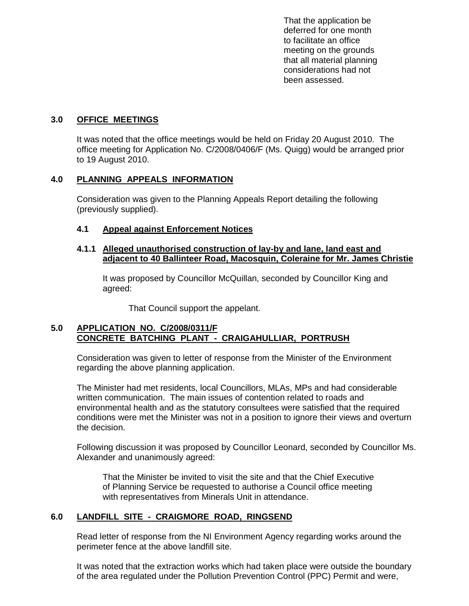That the application be deferred for one month to facilitate an office meeting on the grounds that all material planning considerations had not been assessed.

## **3.0 OFFICE MEETINGS**

 It was noted that the office meetings would be held on Friday 20 August 2010. The office meeting for Application No. C/2008/0406/F (Ms. Quigg) would be arranged prior to 19 August 2010.

## **4.0 PLANNING APPEALS INFORMATION**

 Consideration was given to the Planning Appeals Report detailing the following (previously supplied).

## **4.1 Appeal against Enforcement Notices**

### **4.1.1 Alleged unauthorised construction of lay-by and lane, land east and adjacent to 40 Ballinteer Road, Macosquin, Coleraine for Mr. James Christie**

 It was proposed by Councillor McQuillan, seconded by Councillor King and agreed:

That Council support the appelant.

## **5.0 APPLICATION NO. C/2008/0311/F CONCRETE BATCHING PLANT - CRAIGAHULLIAR, PORTRUSH**

 Consideration was given to letter of response from the Minister of the Environment regarding the above planning application.

 The Minister had met residents, local Councillors, MLAs, MPs and had considerable written communication. The main issues of contention related to roads and environmental health and as the statutory consultees were satisfied that the required conditions were met the Minister was not in a position to ignore their views and overturn the decision.

 Following discussion it was proposed by Councillor Leonard, seconded by Councillor Ms. Alexander and unanimously agreed:

 That the Minister be invited to visit the site and that the Chief Executive of Planning Service be requested to authorise a Council office meeting with representatives from Minerals Unit in attendance.

## **6.0 LANDFILL SITE - CRAIGMORE ROAD, RINGSEND**

 Read letter of response from the NI Environment Agency regarding works around the perimeter fence at the above landfill site.

 It was noted that the extraction works which had taken place were outside the boundary of the area regulated under the Pollution Prevention Control (PPC) Permit and were,